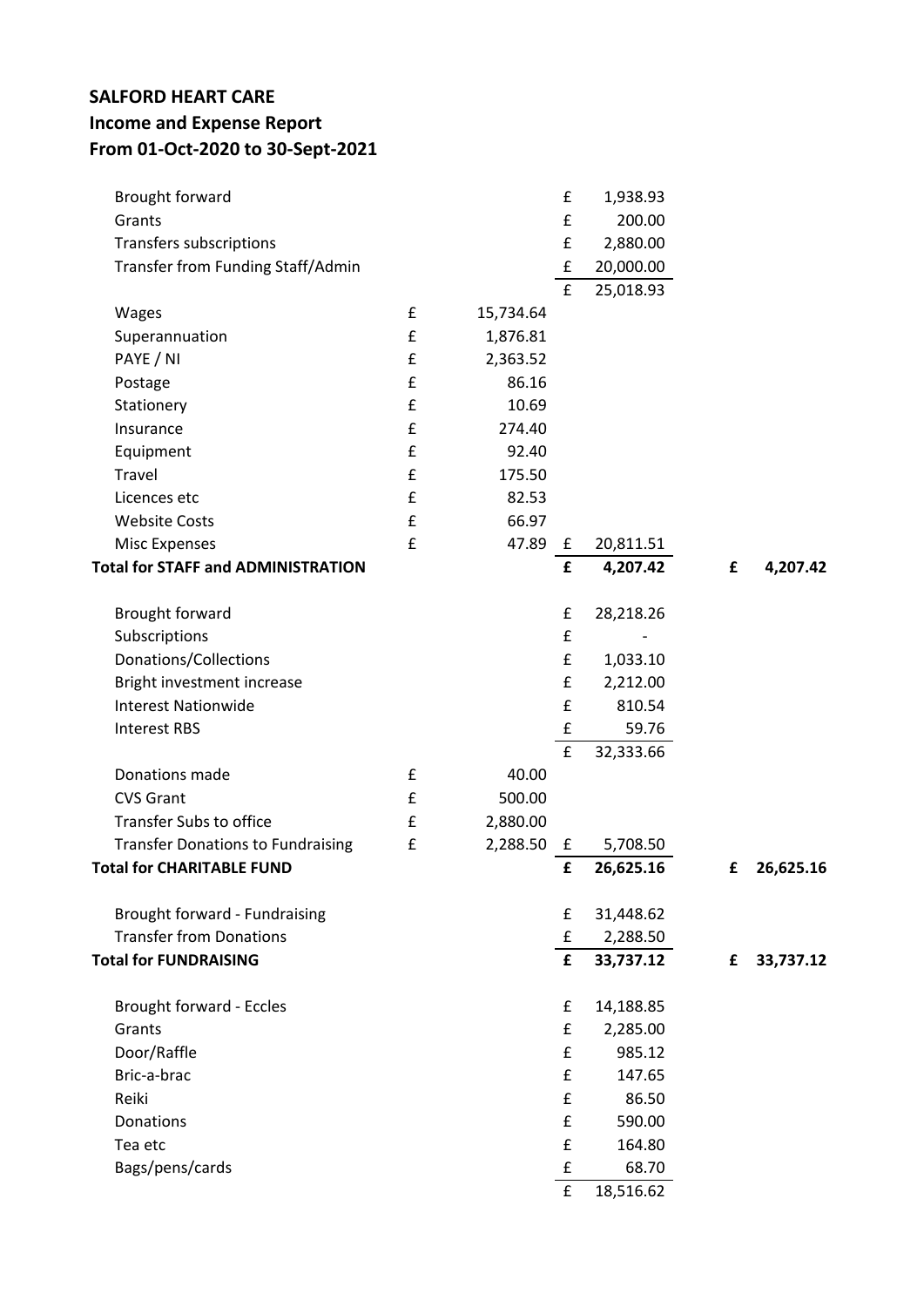## **SALFORD HEART CARE Income and Expense Report From 01-Oct-2020 to 30-Sept-2021**

| £<br>Grants<br>200.00<br>£<br>Transfers subscriptions<br>2,880.00<br>Transfer from Funding Staff/Admin<br>£<br>20,000.00<br>£<br>25,018.93<br>Wages<br>£<br>15,734.64<br>£<br>Superannuation<br>1,876.81<br>PAYE / NI<br>£<br>2,363.52<br>£<br>86.16<br>Postage<br>Stationery<br>£<br>10.69<br>£<br>274.40<br>Insurance<br>£<br>92.40<br>Equipment<br>£<br>Travel<br>175.50<br>£<br>82.53<br>Licences etc<br>£<br><b>Website Costs</b><br>66.97<br>£<br>47.89<br><b>Misc Expenses</b><br>£<br>20,811.51<br><b>Total for STAFF and ADMINISTRATION</b><br>£<br>4,207.42<br>£<br>4,207.42<br>Brought forward<br>£<br>28,218.26<br>£<br>Subscriptions<br>Donations/Collections<br>£<br>1,033.10<br>Bright investment increase<br>£<br>2,212.00<br>£<br><b>Interest Nationwide</b><br>810.54<br>£<br>59.76<br><b>Interest RBS</b><br>£<br>32,333.66<br>Donations made<br>£<br>40.00<br>£<br><b>CVS Grant</b><br>500.00<br><b>Transfer Subs to office</b><br>£<br>2,880.00<br><b>Transfer Donations to Fundraising</b><br>£<br>2,288.50<br>5,708.50<br>$\mathbf{f}$<br><b>Total for CHARITABLE FUND</b><br>£<br>26,625.16<br>26,625.16<br>£<br>Brought forward - Fundraising<br>£<br>31,448.62<br><b>Transfer from Donations</b><br>£<br>2,288.50<br><b>Total for FUNDRAISING</b><br>£<br>33,737.12<br>33,737.12<br>£<br><b>Brought forward - Eccles</b><br>£<br>14,188.85<br>Grants<br>£<br>2,285.00<br>Door/Raffle<br>£<br>985.12<br>Bric-a-brac<br>£<br>147.65<br>£<br>Reiki<br>86.50<br>£<br>590.00<br>Donations<br>£<br>Tea etc<br>164.80<br>Bags/pens/cards<br>£<br>68.70<br>£<br>18,516.62 | Brought forward |  | £ | 1,938.93 |  |
|---------------------------------------------------------------------------------------------------------------------------------------------------------------------------------------------------------------------------------------------------------------------------------------------------------------------------------------------------------------------------------------------------------------------------------------------------------------------------------------------------------------------------------------------------------------------------------------------------------------------------------------------------------------------------------------------------------------------------------------------------------------------------------------------------------------------------------------------------------------------------------------------------------------------------------------------------------------------------------------------------------------------------------------------------------------------------------------------------------------------------------------------------------------------------------------------------------------------------------------------------------------------------------------------------------------------------------------------------------------------------------------------------------------------------------------------------------------------------------------------------------------------------------------------------------------------------------------------|-----------------|--|---|----------|--|
|                                                                                                                                                                                                                                                                                                                                                                                                                                                                                                                                                                                                                                                                                                                                                                                                                                                                                                                                                                                                                                                                                                                                                                                                                                                                                                                                                                                                                                                                                                                                                                                             |                 |  |   |          |  |
|                                                                                                                                                                                                                                                                                                                                                                                                                                                                                                                                                                                                                                                                                                                                                                                                                                                                                                                                                                                                                                                                                                                                                                                                                                                                                                                                                                                                                                                                                                                                                                                             |                 |  |   |          |  |
|                                                                                                                                                                                                                                                                                                                                                                                                                                                                                                                                                                                                                                                                                                                                                                                                                                                                                                                                                                                                                                                                                                                                                                                                                                                                                                                                                                                                                                                                                                                                                                                             |                 |  |   |          |  |
|                                                                                                                                                                                                                                                                                                                                                                                                                                                                                                                                                                                                                                                                                                                                                                                                                                                                                                                                                                                                                                                                                                                                                                                                                                                                                                                                                                                                                                                                                                                                                                                             |                 |  |   |          |  |
|                                                                                                                                                                                                                                                                                                                                                                                                                                                                                                                                                                                                                                                                                                                                                                                                                                                                                                                                                                                                                                                                                                                                                                                                                                                                                                                                                                                                                                                                                                                                                                                             |                 |  |   |          |  |
|                                                                                                                                                                                                                                                                                                                                                                                                                                                                                                                                                                                                                                                                                                                                                                                                                                                                                                                                                                                                                                                                                                                                                                                                                                                                                                                                                                                                                                                                                                                                                                                             |                 |  |   |          |  |
|                                                                                                                                                                                                                                                                                                                                                                                                                                                                                                                                                                                                                                                                                                                                                                                                                                                                                                                                                                                                                                                                                                                                                                                                                                                                                                                                                                                                                                                                                                                                                                                             |                 |  |   |          |  |
|                                                                                                                                                                                                                                                                                                                                                                                                                                                                                                                                                                                                                                                                                                                                                                                                                                                                                                                                                                                                                                                                                                                                                                                                                                                                                                                                                                                                                                                                                                                                                                                             |                 |  |   |          |  |
|                                                                                                                                                                                                                                                                                                                                                                                                                                                                                                                                                                                                                                                                                                                                                                                                                                                                                                                                                                                                                                                                                                                                                                                                                                                                                                                                                                                                                                                                                                                                                                                             |                 |  |   |          |  |
|                                                                                                                                                                                                                                                                                                                                                                                                                                                                                                                                                                                                                                                                                                                                                                                                                                                                                                                                                                                                                                                                                                                                                                                                                                                                                                                                                                                                                                                                                                                                                                                             |                 |  |   |          |  |
|                                                                                                                                                                                                                                                                                                                                                                                                                                                                                                                                                                                                                                                                                                                                                                                                                                                                                                                                                                                                                                                                                                                                                                                                                                                                                                                                                                                                                                                                                                                                                                                             |                 |  |   |          |  |
|                                                                                                                                                                                                                                                                                                                                                                                                                                                                                                                                                                                                                                                                                                                                                                                                                                                                                                                                                                                                                                                                                                                                                                                                                                                                                                                                                                                                                                                                                                                                                                                             |                 |  |   |          |  |
|                                                                                                                                                                                                                                                                                                                                                                                                                                                                                                                                                                                                                                                                                                                                                                                                                                                                                                                                                                                                                                                                                                                                                                                                                                                                                                                                                                                                                                                                                                                                                                                             |                 |  |   |          |  |
|                                                                                                                                                                                                                                                                                                                                                                                                                                                                                                                                                                                                                                                                                                                                                                                                                                                                                                                                                                                                                                                                                                                                                                                                                                                                                                                                                                                                                                                                                                                                                                                             |                 |  |   |          |  |
|                                                                                                                                                                                                                                                                                                                                                                                                                                                                                                                                                                                                                                                                                                                                                                                                                                                                                                                                                                                                                                                                                                                                                                                                                                                                                                                                                                                                                                                                                                                                                                                             |                 |  |   |          |  |
|                                                                                                                                                                                                                                                                                                                                                                                                                                                                                                                                                                                                                                                                                                                                                                                                                                                                                                                                                                                                                                                                                                                                                                                                                                                                                                                                                                                                                                                                                                                                                                                             |                 |  |   |          |  |
|                                                                                                                                                                                                                                                                                                                                                                                                                                                                                                                                                                                                                                                                                                                                                                                                                                                                                                                                                                                                                                                                                                                                                                                                                                                                                                                                                                                                                                                                                                                                                                                             |                 |  |   |          |  |
|                                                                                                                                                                                                                                                                                                                                                                                                                                                                                                                                                                                                                                                                                                                                                                                                                                                                                                                                                                                                                                                                                                                                                                                                                                                                                                                                                                                                                                                                                                                                                                                             |                 |  |   |          |  |
|                                                                                                                                                                                                                                                                                                                                                                                                                                                                                                                                                                                                                                                                                                                                                                                                                                                                                                                                                                                                                                                                                                                                                                                                                                                                                                                                                                                                                                                                                                                                                                                             |                 |  |   |          |  |
|                                                                                                                                                                                                                                                                                                                                                                                                                                                                                                                                                                                                                                                                                                                                                                                                                                                                                                                                                                                                                                                                                                                                                                                                                                                                                                                                                                                                                                                                                                                                                                                             |                 |  |   |          |  |
|                                                                                                                                                                                                                                                                                                                                                                                                                                                                                                                                                                                                                                                                                                                                                                                                                                                                                                                                                                                                                                                                                                                                                                                                                                                                                                                                                                                                                                                                                                                                                                                             |                 |  |   |          |  |
|                                                                                                                                                                                                                                                                                                                                                                                                                                                                                                                                                                                                                                                                                                                                                                                                                                                                                                                                                                                                                                                                                                                                                                                                                                                                                                                                                                                                                                                                                                                                                                                             |                 |  |   |          |  |
|                                                                                                                                                                                                                                                                                                                                                                                                                                                                                                                                                                                                                                                                                                                                                                                                                                                                                                                                                                                                                                                                                                                                                                                                                                                                                                                                                                                                                                                                                                                                                                                             |                 |  |   |          |  |
|                                                                                                                                                                                                                                                                                                                                                                                                                                                                                                                                                                                                                                                                                                                                                                                                                                                                                                                                                                                                                                                                                                                                                                                                                                                                                                                                                                                                                                                                                                                                                                                             |                 |  |   |          |  |
|                                                                                                                                                                                                                                                                                                                                                                                                                                                                                                                                                                                                                                                                                                                                                                                                                                                                                                                                                                                                                                                                                                                                                                                                                                                                                                                                                                                                                                                                                                                                                                                             |                 |  |   |          |  |
|                                                                                                                                                                                                                                                                                                                                                                                                                                                                                                                                                                                                                                                                                                                                                                                                                                                                                                                                                                                                                                                                                                                                                                                                                                                                                                                                                                                                                                                                                                                                                                                             |                 |  |   |          |  |
|                                                                                                                                                                                                                                                                                                                                                                                                                                                                                                                                                                                                                                                                                                                                                                                                                                                                                                                                                                                                                                                                                                                                                                                                                                                                                                                                                                                                                                                                                                                                                                                             |                 |  |   |          |  |
|                                                                                                                                                                                                                                                                                                                                                                                                                                                                                                                                                                                                                                                                                                                                                                                                                                                                                                                                                                                                                                                                                                                                                                                                                                                                                                                                                                                                                                                                                                                                                                                             |                 |  |   |          |  |
|                                                                                                                                                                                                                                                                                                                                                                                                                                                                                                                                                                                                                                                                                                                                                                                                                                                                                                                                                                                                                                                                                                                                                                                                                                                                                                                                                                                                                                                                                                                                                                                             |                 |  |   |          |  |
|                                                                                                                                                                                                                                                                                                                                                                                                                                                                                                                                                                                                                                                                                                                                                                                                                                                                                                                                                                                                                                                                                                                                                                                                                                                                                                                                                                                                                                                                                                                                                                                             |                 |  |   |          |  |
|                                                                                                                                                                                                                                                                                                                                                                                                                                                                                                                                                                                                                                                                                                                                                                                                                                                                                                                                                                                                                                                                                                                                                                                                                                                                                                                                                                                                                                                                                                                                                                                             |                 |  |   |          |  |
|                                                                                                                                                                                                                                                                                                                                                                                                                                                                                                                                                                                                                                                                                                                                                                                                                                                                                                                                                                                                                                                                                                                                                                                                                                                                                                                                                                                                                                                                                                                                                                                             |                 |  |   |          |  |
|                                                                                                                                                                                                                                                                                                                                                                                                                                                                                                                                                                                                                                                                                                                                                                                                                                                                                                                                                                                                                                                                                                                                                                                                                                                                                                                                                                                                                                                                                                                                                                                             |                 |  |   |          |  |
|                                                                                                                                                                                                                                                                                                                                                                                                                                                                                                                                                                                                                                                                                                                                                                                                                                                                                                                                                                                                                                                                                                                                                                                                                                                                                                                                                                                                                                                                                                                                                                                             |                 |  |   |          |  |
|                                                                                                                                                                                                                                                                                                                                                                                                                                                                                                                                                                                                                                                                                                                                                                                                                                                                                                                                                                                                                                                                                                                                                                                                                                                                                                                                                                                                                                                                                                                                                                                             |                 |  |   |          |  |
|                                                                                                                                                                                                                                                                                                                                                                                                                                                                                                                                                                                                                                                                                                                                                                                                                                                                                                                                                                                                                                                                                                                                                                                                                                                                                                                                                                                                                                                                                                                                                                                             |                 |  |   |          |  |
|                                                                                                                                                                                                                                                                                                                                                                                                                                                                                                                                                                                                                                                                                                                                                                                                                                                                                                                                                                                                                                                                                                                                                                                                                                                                                                                                                                                                                                                                                                                                                                                             |                 |  |   |          |  |
|                                                                                                                                                                                                                                                                                                                                                                                                                                                                                                                                                                                                                                                                                                                                                                                                                                                                                                                                                                                                                                                                                                                                                                                                                                                                                                                                                                                                                                                                                                                                                                                             |                 |  |   |          |  |
|                                                                                                                                                                                                                                                                                                                                                                                                                                                                                                                                                                                                                                                                                                                                                                                                                                                                                                                                                                                                                                                                                                                                                                                                                                                                                                                                                                                                                                                                                                                                                                                             |                 |  |   |          |  |
|                                                                                                                                                                                                                                                                                                                                                                                                                                                                                                                                                                                                                                                                                                                                                                                                                                                                                                                                                                                                                                                                                                                                                                                                                                                                                                                                                                                                                                                                                                                                                                                             |                 |  |   |          |  |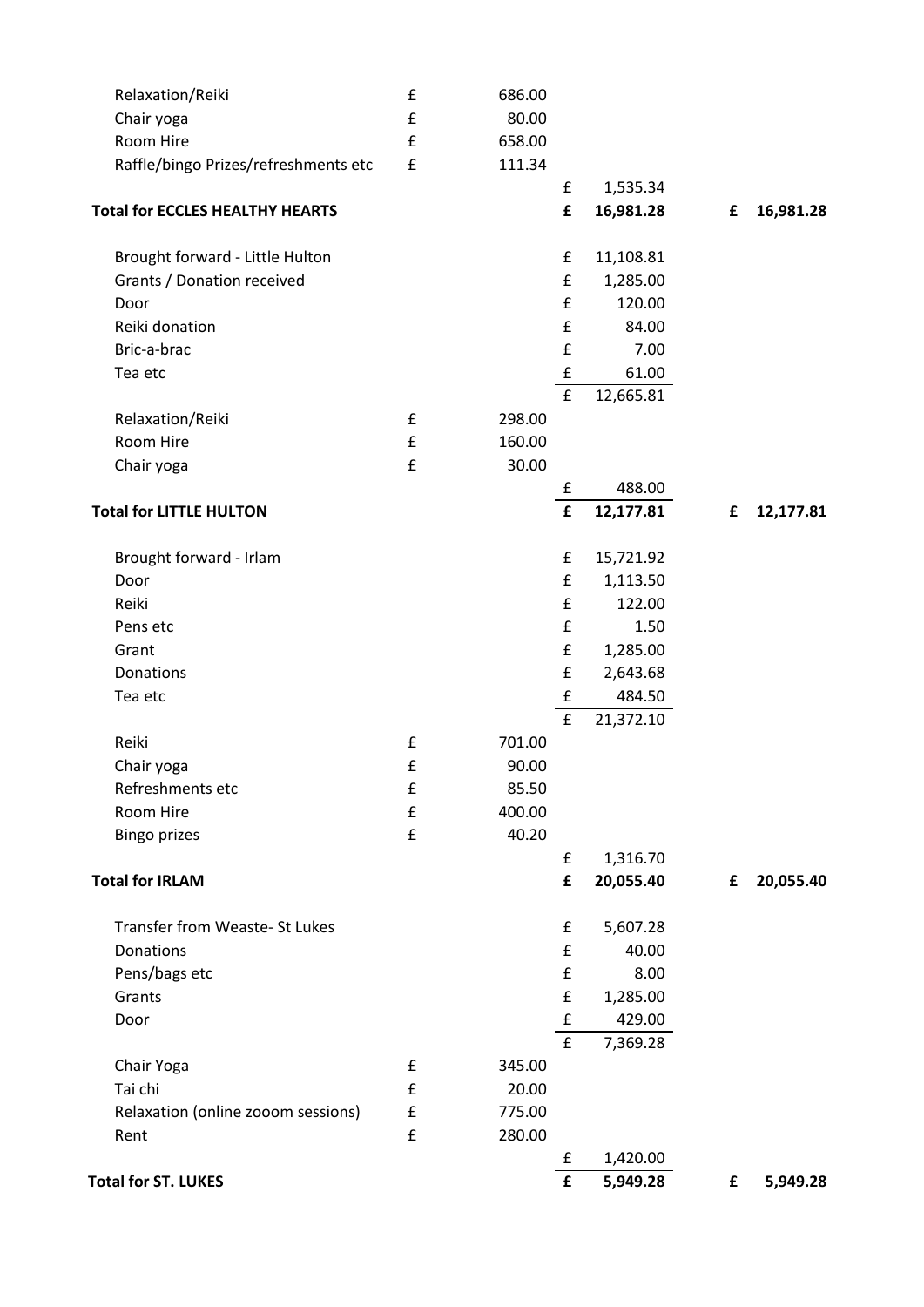| Relaxation/Reiki                       | £                  | 686.00 |                    |           |   |           |
|----------------------------------------|--------------------|--------|--------------------|-----------|---|-----------|
| Chair yoga                             | £                  | 80.00  |                    |           |   |           |
| Room Hire                              | $\pmb{\mathsf{f}}$ | 658.00 |                    |           |   |           |
| Raffle/bingo Prizes/refreshments etc   | $\pmb{\mathsf{f}}$ | 111.34 |                    |           |   |           |
|                                        |                    |        | £                  | 1,535.34  |   |           |
| <b>Total for ECCLES HEALTHY HEARTS</b> |                    |        | $\pmb{\mathsf{f}}$ | 16,981.28 | £ | 16,981.28 |
| Brought forward - Little Hulton        |                    |        | £                  | 11,108.81 |   |           |
| Grants / Donation received             |                    |        | £                  | 1,285.00  |   |           |
| Door                                   |                    |        | £                  | 120.00    |   |           |
| Reiki donation                         |                    |        | £                  | 84.00     |   |           |
| Bric-a-brac                            |                    |        | £                  | 7.00      |   |           |
| Tea etc                                |                    |        | $\pmb{\mathsf{f}}$ | 61.00     |   |           |
|                                        |                    |        | $\pmb{\mathsf{f}}$ | 12,665.81 |   |           |
| Relaxation/Reiki                       | $\pmb{\mathsf{f}}$ | 298.00 |                    |           |   |           |
| Room Hire                              | $\mathbf f$        | 160.00 |                    |           |   |           |
| Chair yoga                             | $\pmb{\mathsf{f}}$ | 30.00  |                    |           |   |           |
|                                        |                    |        | £                  | 488.00    |   |           |
| <b>Total for LITTLE HULTON</b>         |                    |        | $\pmb{\mathsf{f}}$ | 12,177.81 | £ | 12,177.81 |
| Brought forward - Irlam                |                    |        | £                  | 15,721.92 |   |           |
| Door                                   |                    |        | £                  | 1,113.50  |   |           |
| Reiki                                  |                    |        | £                  | 122.00    |   |           |
| Pens etc                               |                    |        | £                  | 1.50      |   |           |
| Grant                                  |                    |        | £                  | 1,285.00  |   |           |
| Donations                              |                    |        | £                  | 2,643.68  |   |           |
| Tea etc                                |                    |        | $\pmb{\mathsf{f}}$ | 484.50    |   |           |
|                                        |                    |        | $\pmb{\mathsf{f}}$ | 21,372.10 |   |           |
| Reiki                                  | £                  | 701.00 |                    |           |   |           |
| Chair yoga                             | $\mathbf f$        | 90.00  |                    |           |   |           |
| Refreshments etc                       | £                  | 85.50  |                    |           |   |           |
| Room Hire                              | £                  | 400.00 |                    |           |   |           |
| <b>Bingo prizes</b>                    | £                  | 40.20  |                    |           |   |           |
|                                        |                    |        | £                  | 1,316.70  |   |           |
| <b>Total for IRLAM</b>                 |                    |        | $\pmb{\mathsf{f}}$ | 20,055.40 | £ | 20,055.40 |
| Transfer from Weaste- St Lukes         |                    |        | £                  | 5,607.28  |   |           |
| Donations                              |                    |        | £                  | 40.00     |   |           |
| Pens/bags etc                          |                    |        | £                  | 8.00      |   |           |
| Grants                                 |                    |        | £                  | 1,285.00  |   |           |
| Door                                   |                    |        | £                  | 429.00    |   |           |
|                                        |                    |        | $\pmb{\mathsf{f}}$ | 7,369.28  |   |           |
| Chair Yoga                             | £                  | 345.00 |                    |           |   |           |
| Tai chi                                | £                  | 20.00  |                    |           |   |           |
| Relaxation (online zooom sessions)     | £                  | 775.00 |                    |           |   |           |
| Rent                                   | $\pmb{\mathsf{f}}$ | 280.00 |                    |           |   |           |
|                                        |                    |        | £                  | 1,420.00  |   |           |
| <b>Total for ST. LUKES</b>             |                    |        | £                  | 5,949.28  | £ | 5,949.28  |